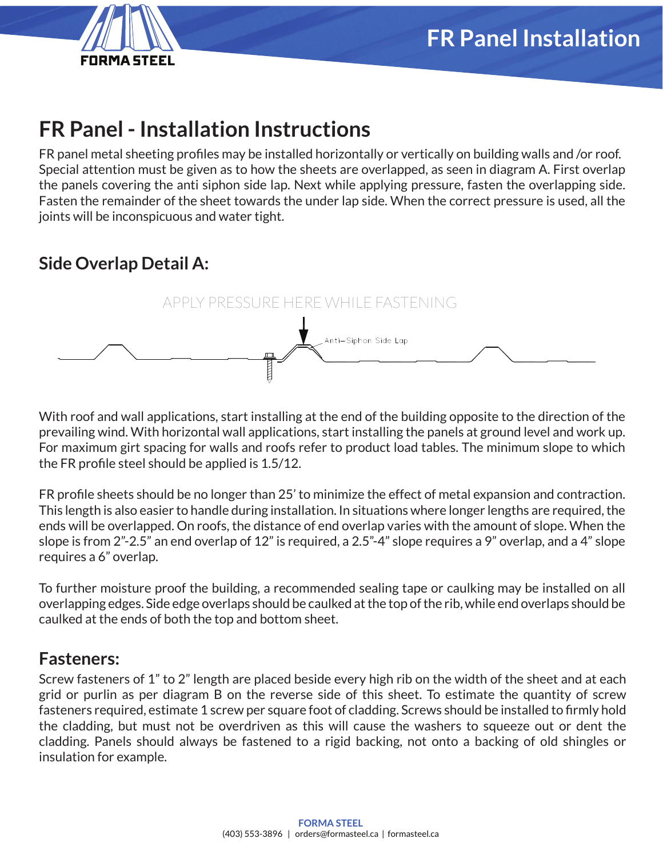

# **FR Panel - Installation Instructions**

FR panel metal sheeting profiles may be installed horizontally or vertically on building walls and /or roof. Special attention must be given as to how the sheets are overlapped, as seen in diagram A. First overlap the panels covering the anti siphon side lap. Next while applying pressure, fasten the overlapping side. Fasten the remainder of the sheet towards the under lap side. When the correct pressure is used, all the joints will be inconspicuous and water tight.

# **Side Overlap Detail A:**



With roof and wall applications, start installing at the end of the building opposite to the direction of the prevailing wind. With horizontal wall applications, start installing the panels at ground level and work up. For maximum girt spacing for walls and roofs refer to product load tables. The minimum slope to which the FR profile steel should be applied is 1.5/12.

FR profile sheets should be no longer than 25' to minimize the effect of metal expansion and contraction. This length is also easier to handle during installation. In situations where longer lengths are required, the ends will be overlapped. On roofs, the distance of end overlap varies with the amount of slope. When the slope is from 2"-2.5" an end overlap of 12" is required, a 2.5"-4" slope requires a 9" overlap, and a 4" slope requires a 6" overlap.

To further moisture proof the building, a recommended sealing tape or caulking may be installed on all overlapping edges. Side edge overlaps should be caulked at the top of the rib, while end overlaps should be caulked at the ends of both the top and bottom sheet.

#### **Fasteners:**

Screw fasteners of 1" to 2" length are placed beside every high rib on the width of the sheet and at each grid or purlin as per diagram B on the reverse side of this sheet. To estimate the quantity of screw fasteners required, estimate 1 screw per square foot of cladding. Screws should be installed to firmly hold the cladding, but must not be overdriven as this will cause the washers to squeeze out or dent the cladding. Panels should always be fastened to a rigid backing, not onto a backing of old shingles or insulation for example.